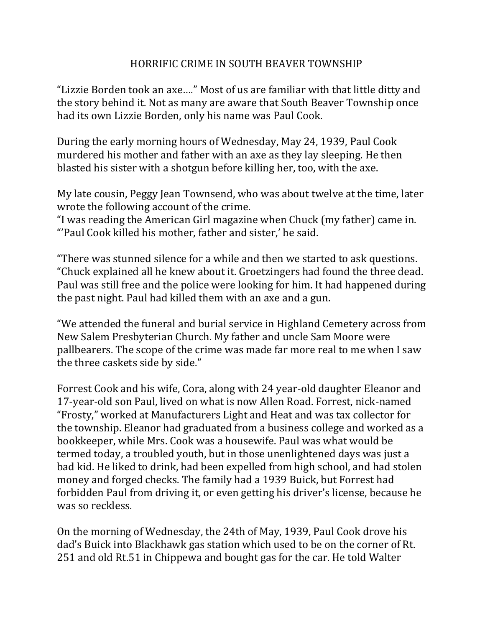## HORRIFIC CRIME IN SOUTH BEAVER TOWNSHIP

"Lizzie Borden took an axe…." Most of us are familiar with that little ditty and the story behind it. Not as many are aware that South Beaver Township once had its own Lizzie Borden, only his name was Paul Cook.

During the early morning hours of Wednesday, May 24, 1939, Paul Cook murdered his mother and father with an axe as they lay sleeping. He then blasted his sister with a shotgun before killing her, too, with the axe.

My late cousin, Peggy Jean Townsend, who was about twelve at the time, later wrote the following account of the crime.

"I was reading the American Girl magazine when Chuck (my father) came in. "'Paul Cook killed his mother, father and sister,' he said.

"There was stunned silence for a while and then we started to ask questions. "Chuck explained all he knew about it. Groetzingers had found the three dead. Paul was still free and the police were looking for him. It had happened during the past night. Paul had killed them with an axe and a gun.

"We attended the funeral and burial service in Highland Cemetery across from New Salem Presbyterian Church. My father and uncle Sam Moore were pallbearers. The scope of the crime was made far more real to me when I saw the three caskets side by side."

Forrest Cook and his wife, Cora, along with 24 year-old daughter Eleanor and 17-year-old son Paul, lived on what is now Allen Road. Forrest, nick-named "Frosty," worked at Manufacturers Light and Heat and was tax collector for the township. Eleanor had graduated from a business college and worked as a bookkeeper, while Mrs. Cook was a housewife. Paul was what would be termed today, a troubled youth, but in those unenlightened days was just a bad kid. He liked to drink, had been expelled from high school, and had stolen money and forged checks. The family had a 1939 Buick, but Forrest had forbidden Paul from driving it, or even getting his driver's license, because he was so reckless.

On the morning of Wednesday, the 24th of May, 1939, Paul Cook drove his dad's Buick into Blackhawk gas station which used to be on the corner of Rt. 251 and old Rt.51 in Chippewa and bought gas for the car. He told Walter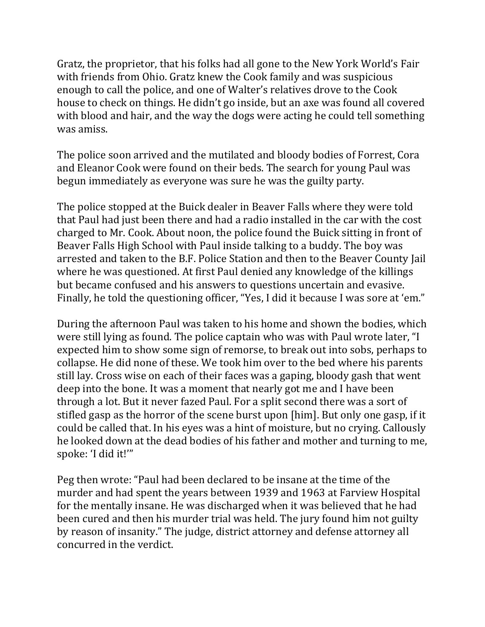Gratz, the proprietor, that his folks had all gone to the New York World's Fair with friends from Ohio. Gratz knew the Cook family and was suspicious enough to call the police, and one of Walter's relatives drove to the Cook house to check on things. He didn't go inside, but an axe was found all covered with blood and hair, and the way the dogs were acting he could tell something was amiss.

The police soon arrived and the mutilated and bloody bodies of Forrest, Cora and Eleanor Cook were found on their beds. The search for young Paul was begun immediately as everyone was sure he was the guilty party.

The police stopped at the Buick dealer in Beaver Falls where they were told that Paul had just been there and had a radio installed in the car with the cost charged to Mr. Cook. About noon, the police found the Buick sitting in front of Beaver Falls High School with Paul inside talking to a buddy. The boy was arrested and taken to the B.F. Police Station and then to the Beaver County Jail where he was questioned. At first Paul denied any knowledge of the killings but became confused and his answers to questions uncertain and evasive. Finally, he told the questioning officer, "Yes, I did it because I was sore at 'em."

During the afternoon Paul was taken to his home and shown the bodies, which were still lying as found. The police captain who was with Paul wrote later, "I expected him to show some sign of remorse, to break out into sobs, perhaps to collapse. He did none of these. We took him over to the bed where his parents still lay. Cross wise on each of their faces was a gaping, bloody gash that went deep into the bone. It was a moment that nearly got me and I have been through a lot. But it never fazed Paul. For a split second there was a sort of stifled gasp as the horror of the scene burst upon [him]. But only one gasp, if it could be called that. In his eyes was a hint of moisture, but no crying. Callously he looked down at the dead bodies of his father and mother and turning to me, spoke: 'I did it!'"

Peg then wrote: "Paul had been declared to be insane at the time of the murder and had spent the years between 1939 and 1963 at Farview Hospital for the mentally insane. He was discharged when it was believed that he had been cured and then his murder trial was held. The jury found him not guilty by reason of insanity." The judge, district attorney and defense attorney all concurred in the verdict.